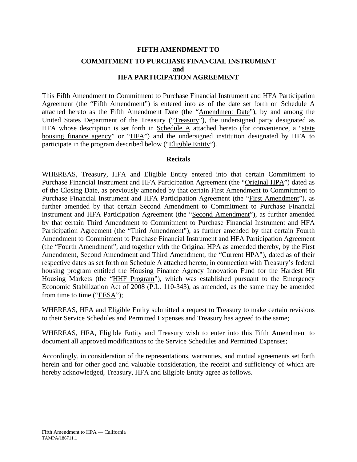## **FIFTH AMENDMENT TO COMMITMENT TO PURCHASE FINANCIAL INSTRUMENT and HFA PARTICIPATION AGREEMENT**

This Fifth Amendment to Commitment to Purchase Financial Instrument and HFA Participation Agreement (the "Fifth Amendment") is entered into as of the date set forth on Schedule A attached hereto as the Fifth Amendment Date (the "Amendment Date"), by and among the United States Department of the Treasury ("Treasury"), the undersigned party designated as HFA whose description is set forth in Schedule  $\overline{A}$  attached hereto (for convenience, a "state housing finance agency" or "HFA") and the undersigned institution designated by HFA to participate in the program described below ("Eligible Entity").

#### **Recitals**

WHEREAS, Treasury, HFA and Eligible Entity entered into that certain Commitment to Purchase Financial Instrument and HFA Participation Agreement (the "Original HPA") dated as of the Closing Date, as previously amended by that certain First Amendment to Commitment to Purchase Financial Instrument and HFA Participation Agreement (the "First Amendment"), as further amended by that certain Second Amendment to Commitment to Purchase Financial instrument and HFA Participation Agreement (the "Second Amendment"), as further amended by that certain Third Amendment to Commitment to Purchase Financial Instrument and HFA Participation Agreement (the "Third Amendment"), as further amended by that certain Fourth Amendment to Commitment to Purchase Financial Instrument and HFA Participation Agreement (the "Fourth Amendment"; and together with the Original HPA as amended thereby, by the First Amendment, Second Amendment and Third Amendment, the "Current HPA"), dated as of their respective dates as set forth on Schedule A attached hereto, in connection with Treasury's federal housing program entitled the Housing Finance Agency Innovation Fund for the Hardest Hit Housing Markets (the "HHF Program"), which was established pursuant to the Emergency Economic Stabilization Act of 2008 (P.L. 110-343), as amended, as the same may be amended from time to time ("EESA");

WHEREAS, HFA and Eligible Entity submitted a request to Treasury to make certain revisions to their Service Schedules and Permitted Expenses and Treasury has agreed to the same;

WHEREAS, HFA, Eligible Entity and Treasury wish to enter into this Fifth Amendment to document all approved modifications to the Service Schedules and Permitted Expenses;

Accordingly, in consideration of the representations, warranties, and mutual agreements set forth herein and for other good and valuable consideration, the receipt and sufficiency of which are hereby acknowledged, Treasury, HFA and Eligible Entity agree as follows.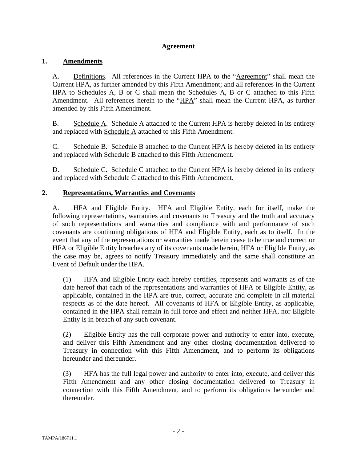#### **Agreement**

#### **1. Amendments**

A. Definitions. All references in the Current HPA to the "Agreement" shall mean the Current HPA, as further amended by this Fifth Amendment; and all references in the Current HPA to Schedules A, B or C shall mean the Schedules A, B or C attached to this Fifth Amendment. All references herein to the "HPA" shall mean the Current HPA, as further amended by this Fifth Amendment.

B. Schedule A. Schedule A attached to the Current HPA is hereby deleted in its entirety and replaced with Schedule A attached to this Fifth Amendment.

C. Schedule B. Schedule B attached to the Current HPA is hereby deleted in its entirety and replaced with Schedule B attached to this Fifth Amendment.

D. Schedule C. Schedule C attached to the Current HPA is hereby deleted in its entirety and replaced with Schedule C attached to this Fifth Amendment.

#### **2. Representations, Warranties and Covenants**

A. HFA and Eligible Entity. HFA and Eligible Entity, each for itself, make the following representations, warranties and covenants to Treasury and the truth and accuracy of such representations and warranties and compliance with and performance of such covenants are continuing obligations of HFA and Eligible Entity, each as to itself. In the event that any of the representations or warranties made herein cease to be true and correct or HFA or Eligible Entity breaches any of its covenants made herein, HFA or Eligible Entity, as the case may be, agrees to notify Treasury immediately and the same shall constitute an Event of Default under the HPA.

(1) HFA and Eligible Entity each hereby certifies, represents and warrants as of the date hereof that each of the representations and warranties of HFA or Eligible Entity, as applicable, contained in the HPA are true, correct, accurate and complete in all material respects as of the date hereof. All covenants of HFA or Eligible Entity, as applicable, contained in the HPA shall remain in full force and effect and neither HFA, nor Eligible Entity is in breach of any such covenant.

(2) Eligible Entity has the full corporate power and authority to enter into, execute, and deliver this Fifth Amendment and any other closing documentation delivered to Treasury in connection with this Fifth Amendment, and to perform its obligations hereunder and thereunder.

(3) HFA has the full legal power and authority to enter into, execute, and deliver this Fifth Amendment and any other closing documentation delivered to Treasury in connection with this Fifth Amendment, and to perform its obligations hereunder and thereunder.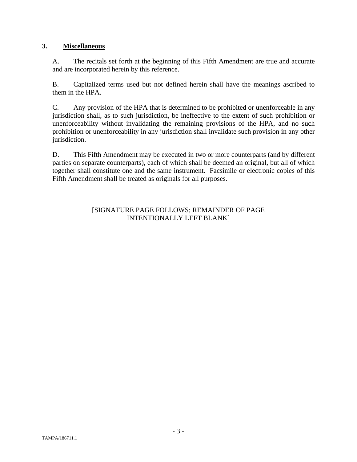### **3. Miscellaneous**

A. The recitals set forth at the beginning of this Fifth Amendment are true and accurate and are incorporated herein by this reference.

B. Capitalized terms used but not defined herein shall have the meanings ascribed to them in the HPA.

C. Any provision of the HPA that is determined to be prohibited or unenforceable in any jurisdiction shall, as to such jurisdiction, be ineffective to the extent of such prohibition or unenforceability without invalidating the remaining provisions of the HPA, and no such prohibition or unenforceability in any jurisdiction shall invalidate such provision in any other jurisdiction.

D. This Fifth Amendment may be executed in two or more counterparts (and by different parties on separate counterparts), each of which shall be deemed an original, but all of which together shall constitute one and the same instrument. Facsimile or electronic copies of this Fifth Amendment shall be treated as originals for all purposes.

#### [SIGNATURE PAGE FOLLOWS; REMAINDER OF PAGE INTENTIONALLY LEFT BLANK]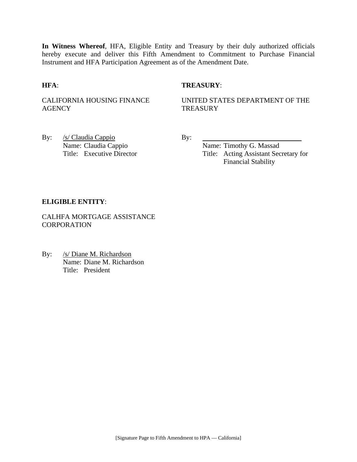**In Witness Whereof**, HFA, Eligible Entity and Treasury by their duly authorized officials hereby execute and deliver this Fifth Amendment to Commitment to Purchase Financial Instrument and HFA Participation Agreement as of the Amendment Date.

#### **HFA**: **TREASURY**:

CALIFORNIA HOUSING FINANCE **AGENCY** 

UNITED STATES DEPARTMENT OF THE **TREASURY** 

By: /s/ Claudia Cappio By: Name: Claudia Cappio Name: Timothy G. Massad

Title: Executive Director Title: Acting Assistant Secretary for Financial Stability

#### **ELIGIBLE ENTITY**:

CALHFA MORTGAGE ASSISTANCE **CORPORATION** 

By: /s/ Diane M. Richardson Name: Diane M. Richardson Title: President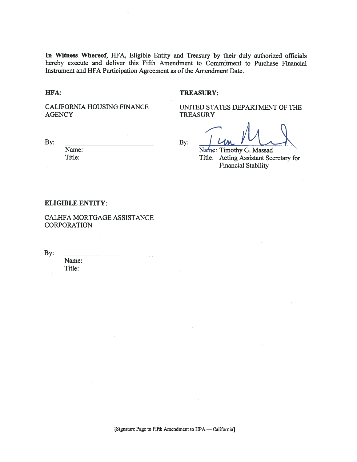In Witness Whereof, HFA, Eligible Entity and Treasury by their duly authorized officials hereby execute and deliver this Fifth Amendment to Commitment to Purchase Financial Instrument and HFA Participation Agreement as of the Amendment Date.

HFA:

#### **TREASURY:**

CALIFORNIA HOUSING FINANCE **AGENCY** 

UNITED STATES DEPARTMENT OF THE **TREASURY** 

By:

By:

Name: Timothy G. Massad

Title: Acting Assistant Secretary for **Financial Stability** 

#### **ELIGIBLE ENTITY:**

Name:

Title:

CALHFA MORTGAGE ASSISTANCE **CORPORATION** 

By:

Name: Title: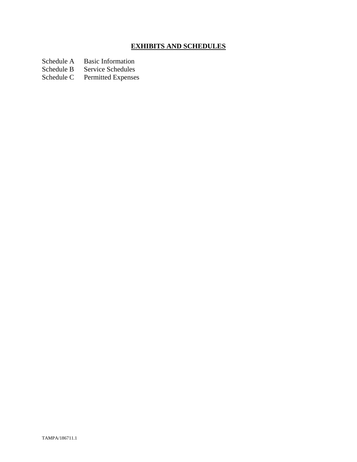# **EXHIBITS AND SCHEDULES**

Schedule A Basic Information<br>Schedule B Service Schedules

Schedule B Service Schedules<br>Schedule C Permitted Expenses

Permitted Expenses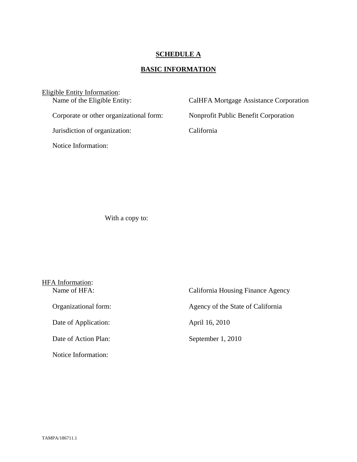## **SCHEDULE A**

# **BASIC INFORMATION**

| Eligible Entity Information:            |                                        |
|-----------------------------------------|----------------------------------------|
| Name of the Eligible Entity:            | CalHFA Mortgage Assistance Corporation |
| Corporate or other organizational form: | Nonprofit Public Benefit Corporation   |
| Jurisdiction of organization:           | California                             |
| Notice Information:                     |                                        |
|                                         |                                        |

With a copy to:

| HFA Information:     |                                   |  |
|----------------------|-----------------------------------|--|
| Name of HFA:         | California Housing Finance Agency |  |
| Organizational form: | Agency of the State of California |  |
| Date of Application: | April 16, 2010                    |  |
| Date of Action Plan: | September 1, 2010                 |  |
| Notice Information:  |                                   |  |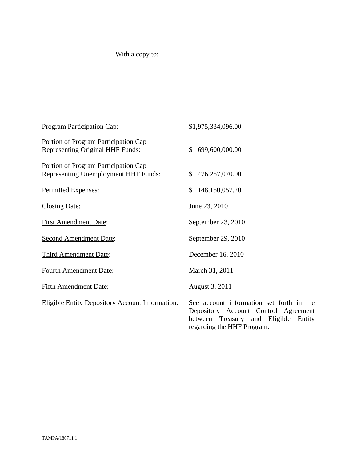# With a copy to:

| Program Participation Cap:                                                          | \$1,975,334,096.00                                                                                                                |
|-------------------------------------------------------------------------------------|-----------------------------------------------------------------------------------------------------------------------------------|
| Portion of Program Participation Cap<br>Representing Original HHF Funds:            | 699,600,000.00<br>\$                                                                                                              |
| Portion of Program Participation Cap<br><b>Representing Unemployment HHF Funds:</b> | 476,257,070.00<br>\$                                                                                                              |
| Permitted Expenses:                                                                 | 148,150,057.20<br>\$                                                                                                              |
| <b>Closing Date:</b>                                                                | June 23, 2010                                                                                                                     |
| <b>First Amendment Date:</b>                                                        | September 23, 2010                                                                                                                |
| <b>Second Amendment Date:</b>                                                       | September 29, 2010                                                                                                                |
| Third Amendment Date:                                                               | December 16, 2010                                                                                                                 |
| <b>Fourth Amendment Date:</b>                                                       | March 31, 2011                                                                                                                    |
| <b>Fifth Amendment Date:</b>                                                        | August 3, 2011                                                                                                                    |
| <b>Eligible Entity Depository Account Information:</b>                              | See account information set forth in the<br>Depository Account Control Agreement<br>Eligible<br>between Treasury<br>and<br>Entity |

regarding the HHF Program.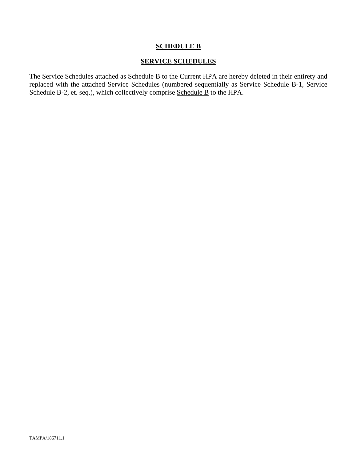#### **SERVICE SCHEDULES**

The Service Schedules attached as Schedule B to the Current HPA are hereby deleted in their entirety and replaced with the attached Service Schedules (numbered sequentially as Service Schedule B-1, Service Schedule B-2, et. seq.), which collectively comprise Schedule B to the HPA.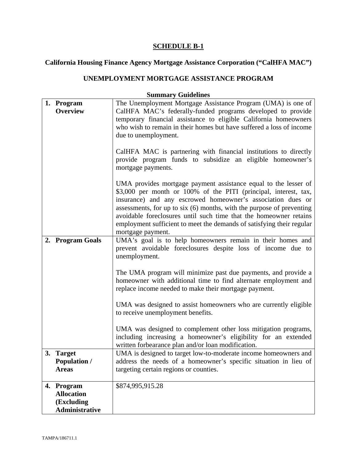# **California Housing Finance Agency Mortgage Assistance Corporation ("CalHFA MAC")**

## **UNEMPLOYMENT MORTGAGE ASSISTANCE PROGRAM**

|    | 1. Program            | The Unemployment Mortgage Assistance Program (UMA) is one of          |
|----|-----------------------|-----------------------------------------------------------------------|
|    | <b>Overview</b>       | CalHFA MAC's federally-funded programs developed to provide           |
|    |                       | temporary financial assistance to eligible California homeowners      |
|    |                       | who wish to remain in their homes but have suffered a loss of income  |
|    |                       | due to unemployment.                                                  |
|    |                       |                                                                       |
|    |                       | CalHFA MAC is partnering with financial institutions to directly      |
|    |                       | provide program funds to subsidize an eligible homeowner's            |
|    |                       | mortgage payments.                                                    |
|    |                       |                                                                       |
|    |                       | UMA provides mortgage payment assistance equal to the lesser of       |
|    |                       | \$3,000 per month or 100% of the PITI (principal, interest, tax,      |
|    |                       | insurance) and any escrowed homeowner's association dues or           |
|    |                       | assessments, for up to six (6) months, with the purpose of preventing |
|    |                       | avoidable foreclosures until such time that the homeowner retains     |
|    |                       | employment sufficient to meet the demands of satisfying their regular |
|    |                       | mortgage payment.                                                     |
|    | 2. Program Goals      | UMA's goal is to help homeowners remain in their homes and            |
|    |                       | prevent avoidable foreclosures despite loss of income due to          |
|    |                       | unemployment.                                                         |
|    |                       |                                                                       |
|    |                       | The UMA program will minimize past due payments, and provide a        |
|    |                       | homeowner with additional time to find alternate employment and       |
|    |                       | replace income needed to make their mortgage payment.                 |
|    |                       |                                                                       |
|    |                       | UMA was designed to assist homeowners who are currently eligible      |
|    |                       | to receive unemployment benefits.                                     |
|    |                       |                                                                       |
|    |                       | UMA was designed to complement other loss mitigation programs,        |
|    |                       | including increasing a homeowner's eligibility for an extended        |
|    |                       | written forbearance plan and/or loan modification.                    |
| 3. | <b>Target</b>         | UMA is designed to target low-to-moderate income homeowners and       |
|    | <b>Population /</b>   | address the needs of a homeowner's specific situation in lieu of      |
|    | <b>Areas</b>          | targeting certain regions or counties.                                |
|    |                       |                                                                       |
|    | 4. Program            | \$874,995,915.28                                                      |
|    | <b>Allocation</b>     |                                                                       |
|    | (Excluding            |                                                                       |
|    | <b>Administrative</b> |                                                                       |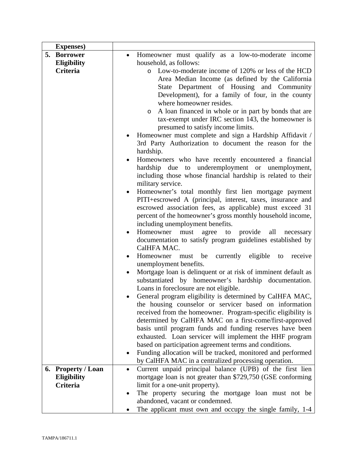| <b>Expenses</b> )  |                                                                            |
|--------------------|----------------------------------------------------------------------------|
| 5. Borrower        | Homeowner must qualify as a low-to-moderate income<br>$\bullet$            |
| Eligibility        | household, as follows:                                                     |
| Criteria           | Low-to-moderate income of 120% or less of the HCD<br>$\circ$               |
|                    | Area Median Income (as defined by the California                           |
|                    | State Department of Housing and Community                                  |
|                    | Development), for a family of four, in the county                          |
|                    | where homeowner resides.                                                   |
|                    | A loan financed in whole or in part by bonds that are<br>$\circ$           |
|                    | tax-exempt under IRC section 143, the homeowner is                         |
|                    | presumed to satisfy income limits.                                         |
|                    | Homeowner must complete and sign a Hardship Affidavit /                    |
|                    | 3rd Party Authorization to document the reason for the                     |
|                    | hardship.                                                                  |
|                    | Homeowners who have recently encountered a financial<br>$\bullet$          |
|                    | hardship due to underemployment or unemployment,                           |
|                    | including those whose financial hardship is related to their               |
|                    | military service.                                                          |
|                    | Homeowner's total monthly first lien mortgage payment<br>$\bullet$         |
|                    | PITI+escrowed A (principal, interest, taxes, insurance and                 |
|                    | escrowed association fees, as applicable) must exceed 31                   |
|                    | percent of the homeowner's gross monthly household income,                 |
|                    | including unemployment benefits.                                           |
|                    | provide<br>Homeowner<br>agree<br>all<br>must<br>to<br>necessary            |
|                    | documentation to satisfy program guidelines established by                 |
|                    | CalHFA MAC.                                                                |
|                    | currently eligible to<br>Homeowner must<br>be<br>receive                   |
|                    | unemployment benefits.                                                     |
|                    | Mortgage loan is delinquent or at risk of imminent default as<br>$\bullet$ |
|                    | substantiated by homeowner's hardship documentation.                       |
|                    | Loans in foreclosure are not eligible.                                     |
|                    | General program eligibility is determined by CalHFA MAC,                   |
|                    | the housing counselor or servicer based on information                     |
|                    | received from the homeowner. Program-specific eligibility is               |
|                    | determined by CalHFA MAC on a first-come/first-approved                    |
|                    | basis until program funds and funding reserves have been                   |
|                    | exhausted. Loan servicer will implement the HHF program                    |
|                    | based on participation agreement terms and conditions.                     |
|                    | Funding allocation will be tracked, monitored and performed<br>$\bullet$   |
|                    | by CalHFA MAC in a centralized processing operation.                       |
| 6. Property / Loan | Current unpaid principal balance (UPB) of the first lien<br>$\bullet$      |
| <b>Eligibility</b> | mortgage loan is not greater than \$729,750 (GSE conforming                |
| Criteria           | limit for a one-unit property).                                            |
|                    | The property securing the mortgage loan must not be<br>٠                   |
|                    | abandoned, vacant or condemned.                                            |
|                    | The applicant must own and occupy the single family, 1-4                   |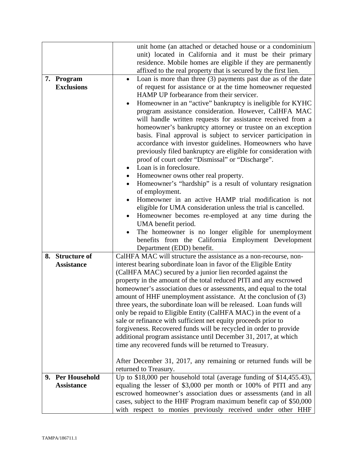|                   | unit home (an attached or detached house or a condominium                 |  |
|-------------------|---------------------------------------------------------------------------|--|
|                   | unit) located in California and it must be their primary                  |  |
|                   | residence. Mobile homes are eligible if they are permanently              |  |
|                   | affixed to the real property that is secured by the first lien.           |  |
| 7. Program        | Loan is more than three (3) payments past due as of the date<br>$\bullet$ |  |
| <b>Exclusions</b> | of request for assistance or at the time homeowner requested              |  |
|                   | HAMP UP forbearance from their servicer.                                  |  |
|                   | Homeowner in an "active" bankruptcy is ineligible for KYHC                |  |
|                   | program assistance consideration. However, CalHFA MAC                     |  |
|                   | will handle written requests for assistance received from a               |  |
|                   | homeowner's bankruptcy attorney or trustee on an exception                |  |
|                   | basis. Final approval is subject to servicer participation in             |  |
|                   | accordance with investor guidelines. Homeowners who have                  |  |
|                   | previously filed bankruptcy are eligible for consideration with           |  |
|                   | proof of court order "Dismissal" or "Discharge".                          |  |
|                   | Loan is in foreclosure.<br>$\bullet$                                      |  |
|                   | Homeowner owns other real property.<br>$\bullet$                          |  |
|                   | Homeowner's "hardship" is a result of voluntary resignation               |  |
|                   | of employment.                                                            |  |
|                   | Homeowner in an active HAMP trial modification is not                     |  |
|                   | eligible for UMA consideration unless the trial is cancelled.             |  |
|                   | Homeowner becomes re-employed at any time during the                      |  |
|                   | UMA benefit period.                                                       |  |
|                   | The homeowner is no longer eligible for unemployment<br>$\bullet$         |  |
|                   | benefits from the California Employment Development                       |  |
|                   | Department (EDD) benefit.                                                 |  |
| 8. Structure of   | CalHFA MAC will structure the assistance as a non-recourse, non-          |  |
| <b>Assistance</b> | interest bearing subordinate loan in favor of the Eligible Entity         |  |
|                   | (CalHFA MAC) secured by a junior lien recorded against the                |  |
|                   | property in the amount of the total reduced PITI and any escrowed         |  |
|                   | homeowner's association dues or assessments, and equal to the total       |  |
|                   | amount of HHF unemployment assistance. At the conclusion of (3)           |  |
|                   | three years, the subordinate loan will be released. Loan funds will       |  |
|                   | only be repaid to Eligible Entity (CalHFA MAC) in the event of a          |  |
|                   | sale or refinance with sufficient net equity proceeds prior to            |  |
|                   | forgiveness. Recovered funds will be recycled in order to provide         |  |
|                   | additional program assistance until December 31, 2017, at which           |  |
|                   | time any recovered funds will be returned to Treasury.                    |  |
|                   |                                                                           |  |
|                   | After December 31, 2017, any remaining or returned funds will be          |  |
|                   | returned to Treasury.                                                     |  |
| 9. Per Household  | Up to \$18,000 per household total (average funding of \$14,455.43),      |  |
| <b>Assistance</b> | equaling the lesser of \$3,000 per month or 100% of PITI and any          |  |
|                   | escrowed homeowner's association dues or assessments (and in all          |  |
|                   | cases, subject to the HHF Program maximum benefit cap of \$50,000         |  |
|                   | with respect to monies previously received under other HHF                |  |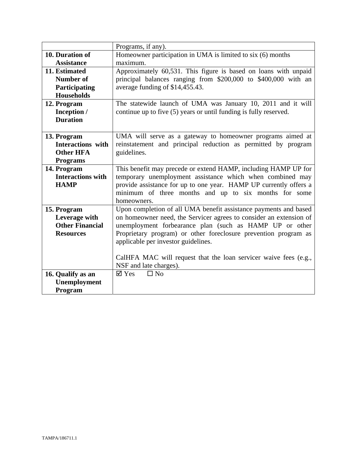|                          | Programs, if any).                                                 |
|--------------------------|--------------------------------------------------------------------|
| 10. Duration of          | Homeowner participation in UMA is limited to six (6) months        |
| <b>Assistance</b>        | maximum.                                                           |
| 11. Estimated            | Approximately 60,531. This figure is based on loans with unpaid    |
| <b>Number of</b>         | principal balances ranging from \$200,000 to \$400,000 with an     |
| Participating            | average funding of \$14,455.43.                                    |
| <b>Households</b>        |                                                                    |
| 12. Program              | The statewide launch of UMA was January 10, 2011 and it will       |
| Inception /              | continue up to five (5) years or until funding is fully reserved.  |
| <b>Duration</b>          |                                                                    |
|                          |                                                                    |
| 13. Program              | UMA will serve as a gateway to homeowner programs aimed at         |
| <b>Interactions</b> with | reinstatement and principal reduction as permitted by program      |
| <b>Other HFA</b>         | guidelines.                                                        |
| <b>Programs</b>          |                                                                    |
| 14. Program              | This benefit may precede or extend HAMP, including HAMP UP for     |
| <b>Interactions with</b> | temporary unemployment assistance which when combined may          |
| <b>HAMP</b>              | provide assistance for up to one year. HAMP UP currently offers a  |
|                          | minimum of three months and up to six months for some              |
|                          | homeowners.                                                        |
| 15. Program              | Upon completion of all UMA benefit assistance payments and based   |
| Leverage with            | on homeowner need, the Servicer agrees to consider an extension of |
| <b>Other Financial</b>   | unemployment forbearance plan (such as HAMP UP or other            |
| <b>Resources</b>         | Proprietary program) or other foreclosure prevention program as    |
|                          | applicable per investor guidelines.                                |
|                          |                                                                    |
|                          | CalHFA MAC will request that the loan servicer waive fees (e.g.,   |
|                          | NSF and late charges).                                             |
| 16. Qualify as an        | $\boxtimes$ Yes<br>$\Box$ No                                       |
| Unemployment             |                                                                    |
| Program                  |                                                                    |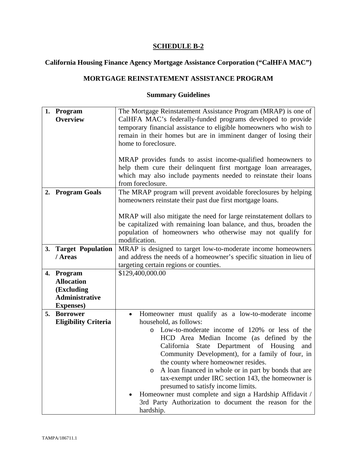# **California Housing Finance Agency Mortgage Assistance Corporation ("CalHFA MAC")**

## **MORTGAGE REINSTATEMENT ASSISTANCE PROGRAM**

|    | 1. Program<br><b>Overview</b>                                                               | The Mortgage Reinstatement Assistance Program (MRAP) is one of<br>CalHFA MAC's federally-funded programs developed to provide<br>temporary financial assistance to eligible homeowners who wish to<br>remain in their homes but are in imminent danger of losing their<br>home to foreclosure.<br>MRAP provides funds to assist income-qualified homeowners to<br>help them cure their delinquent first mortgage loan arrearages,                                                                                                                                                                                                          |  |  |
|----|---------------------------------------------------------------------------------------------|--------------------------------------------------------------------------------------------------------------------------------------------------------------------------------------------------------------------------------------------------------------------------------------------------------------------------------------------------------------------------------------------------------------------------------------------------------------------------------------------------------------------------------------------------------------------------------------------------------------------------------------------|--|--|
|    |                                                                                             | which may also include payments needed to reinstate their loans<br>from foreclosure.                                                                                                                                                                                                                                                                                                                                                                                                                                                                                                                                                       |  |  |
|    | 2. Program Goals                                                                            | The MRAP program will prevent avoidable foreclosures by helping<br>homeowners reinstate their past due first mortgage loans.<br>MRAP will also mitigate the need for large reinstatement dollars to                                                                                                                                                                                                                                                                                                                                                                                                                                        |  |  |
|    |                                                                                             | be capitalized with remaining loan balance, and thus, broaden the<br>population of homeowners who otherwise may not qualify for<br>modification.                                                                                                                                                                                                                                                                                                                                                                                                                                                                                           |  |  |
| 3. | <b>Target Population</b><br>/ Areas                                                         | MRAP is designed to target low-to-moderate income homeowners<br>and address the needs of a homeowner's specific situation in lieu of<br>targeting certain regions or counties.                                                                                                                                                                                                                                                                                                                                                                                                                                                             |  |  |
|    | 4. Program<br><b>Allocation</b><br>(Excluding<br><b>Administrative</b><br><b>Expenses</b> ) | \$129,400,000.00                                                                                                                                                                                                                                                                                                                                                                                                                                                                                                                                                                                                                           |  |  |
| 5. | <b>Borrower</b><br><b>Eligibility Criteria</b>                                              | Homeowner must qualify as a low-to-moderate income<br>$\bullet$<br>household, as follows:<br>Low-to-moderate income of 120% or less of the<br>O<br>HCD Area Median Income (as defined by<br>the<br>State Department of Housing<br>California<br>and<br>Community Development), for a family of four, in<br>the county where homeowner resides.<br>A loan financed in whole or in part by bonds that are<br>O<br>tax-exempt under IRC section 143, the homeowner is<br>presumed to satisfy income limits.<br>Homeowner must complete and sign a Hardship Affidavit /<br>3rd Party Authorization to document the reason for the<br>hardship. |  |  |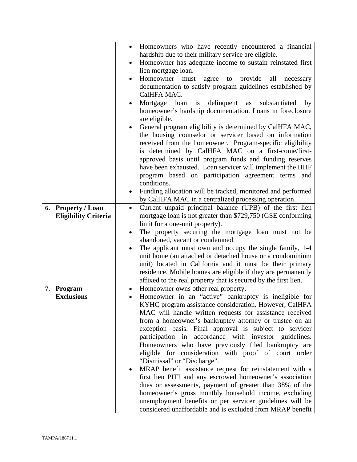|    |                             | $\bullet$ | Homeowners who have recently encountered a financial                                   |
|----|-----------------------------|-----------|----------------------------------------------------------------------------------------|
|    |                             |           | hardship due to their military service are eligible.                                   |
|    |                             |           | Homeowner has adequate income to sustain reinstated first                              |
|    |                             |           | lien mortgage loan.                                                                    |
|    |                             |           | Homeowner must<br>agree to provide<br>all<br>necessary                                 |
|    |                             |           | documentation to satisfy program guidelines established by                             |
|    |                             |           | CalHFA MAC.                                                                            |
|    |                             |           | Mortgage loan is delinquent as<br>substantiated<br>by                                  |
|    |                             |           | homeowner's hardship documentation. Loans in foreclosure                               |
|    |                             |           | are eligible.                                                                          |
|    |                             |           | General program eligibility is determined by CalHFA MAC,                               |
|    |                             |           | the housing counselor or servicer based on information                                 |
|    |                             |           | received from the homeowner. Program-specific eligibility                              |
|    |                             |           | is determined by CalHFA MAC on a first-come/first-                                     |
|    |                             |           | approved basis until program funds and funding reserves                                |
|    |                             |           | have been exhausted. Loan servicer will implement the HHF                              |
|    |                             |           | program based on participation agreement terms and                                     |
|    |                             |           | conditions.                                                                            |
|    |                             |           | Funding allocation will be tracked, monitored and performed                            |
|    |                             |           | by CalHFA MAC in a centralized processing operation.                                   |
| 6. | <b>Property / Loan</b>      | $\bullet$ | Current unpaid principal balance (UPB) of the first lien                               |
|    | <b>Eligibility Criteria</b> |           | mortgage loan is not greater than \$729,750 (GSE conforming                            |
|    |                             |           | limit for a one-unit property).                                                        |
|    |                             | ٠         | The property securing the mortgage loan must not be<br>abandoned, vacant or condemned. |
|    |                             |           | The applicant must own and occupy the single family, 1-4                               |
|    |                             |           | unit home (an attached or detached house or a condominium                              |
|    |                             |           | unit) located in California and it must be their primary                               |
|    |                             |           | residence. Mobile homes are eligible if they are permanently                           |
|    |                             |           | affixed to the real property that is secured by the first lien.                        |
| 7. | Program                     | ٠         | Homeowner owns other real property.                                                    |
|    | <b>Exclusions</b>           |           | Homeowner in an "active" bankruptcy is ineligible for                                  |
|    |                             |           | KYHC program assistance consideration. However, CalHFA                                 |
|    |                             |           | MAC will handle written requests for assistance received                               |
|    |                             |           | from a homeowner's bankruptcy attorney or trustee on an                                |
|    |                             |           | exception basis. Final approval is subject to servicer                                 |
|    |                             |           | participation in accordance with investor guidelines.                                  |
|    |                             |           | Homeowners who have previously filed bankruptcy are                                    |
|    |                             |           | eligible for consideration with proof of court order                                   |
|    |                             |           | "Dismissal" or "Discharge".                                                            |
|    |                             |           | MRAP benefit assistance request for reinstatement with a                               |
|    |                             |           | first lien PITI and any escrowed homeowner's association                               |
|    |                             |           | dues or assessments, payment of greater than 38% of the                                |
|    |                             |           | homeowner's gross monthly household income, excluding                                  |
|    |                             |           | unemployment benefits or per servicer guidelines will be                               |
|    |                             |           | considered unaffordable and is excluded from MRAP benefit                              |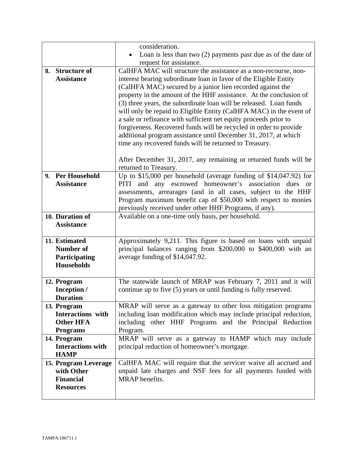|    |                                         | consideration.                                                                                                                       |
|----|-----------------------------------------|--------------------------------------------------------------------------------------------------------------------------------------|
|    |                                         | Loan is less than two $(2)$ payments past due as of the date of                                                                      |
|    |                                         | request for assistance.                                                                                                              |
| 8. | <b>Structure of</b>                     | CalHFA MAC will structure the assistance as a non-recourse, non-                                                                     |
|    | <b>Assistance</b>                       | interest bearing subordinate loan in favor of the Eligible Entity                                                                    |
|    |                                         | (CalHFA MAC) secured by a junior lien recorded against the                                                                           |
|    |                                         | property in the amount of the HHF assistance. At the conclusion of                                                                   |
|    |                                         | (3) three years, the subordinate loan will be released. Loan funds                                                                   |
|    |                                         | will only be repaid to Eligible Entity (CalHFA MAC) in the event of                                                                  |
|    |                                         | a sale or refinance with sufficient net equity proceeds prior to                                                                     |
|    |                                         | forgiveness. Recovered funds will be recycled in order to provide                                                                    |
|    |                                         | additional program assistance until December 31, 2017, at which                                                                      |
|    |                                         | time any recovered funds will be returned to Treasury.                                                                               |
|    |                                         | After December 31, 2017, any remaining or returned funds will be                                                                     |
|    |                                         | returned to Treasury.                                                                                                                |
| 9. | <b>Per Household</b>                    | Up to \$15,000 per household (average funding of \$14,047.92) for                                                                    |
|    | <b>Assistance</b>                       | and any escrowed homeowner's association dues or<br>PITI                                                                             |
|    |                                         | assessments, arrearages (and in all cases, subject to the HHF                                                                        |
|    |                                         | Program maximum benefit cap of \$50,000 with respect to monies                                                                       |
|    |                                         | previously received under other HHF Programs, if any).                                                                               |
|    | 10. Duration of                         | Available on a one-time only basis, per household.                                                                                   |
|    | <b>Assistance</b>                       |                                                                                                                                      |
|    | 11. Estimated                           | Approximately 9,211. This figure is based on loans with unpaid                                                                       |
|    | <b>Number of</b>                        | principal balances ranging from \$200,000 to \$400,000 with an                                                                       |
|    | Participating                           | average funding of \$14,047.92.                                                                                                      |
|    | <b>Households</b>                       |                                                                                                                                      |
|    |                                         |                                                                                                                                      |
|    | 12. Program                             | The statewide launch of MRAP was February 7, 2011 and it will                                                                        |
|    | Inception /                             | continue up to five (5) years or until funding is fully reserved.                                                                    |
|    | <b>Duration</b>                         |                                                                                                                                      |
|    | 13. Program<br><b>Interactions</b> with | MRAP will serve as a gateway to other loss mitigation programs<br>including loan modification which may include principal reduction, |
|    | <b>Other HFA</b>                        | including other HHF Programs and the Principal Reduction                                                                             |
|    | <b>Programs</b>                         | Program.                                                                                                                             |
|    | 14. Program                             | MRAP will serve as a gateway to HAMP which may include                                                                               |
|    | <b>Interactions with</b>                | principal reduction of homeowner's mortgage.                                                                                         |
|    | <b>HAMP</b>                             |                                                                                                                                      |
|    | 15. Program Leverage                    | CalHFA MAC will require that the servicer waive all accrued and                                                                      |
|    | with Other                              | unpaid late charges and NSF fees for all payments funded with                                                                        |
|    | <b>Financial</b>                        | MRAP benefits.                                                                                                                       |
|    | <b>Resources</b>                        |                                                                                                                                      |
|    |                                         |                                                                                                                                      |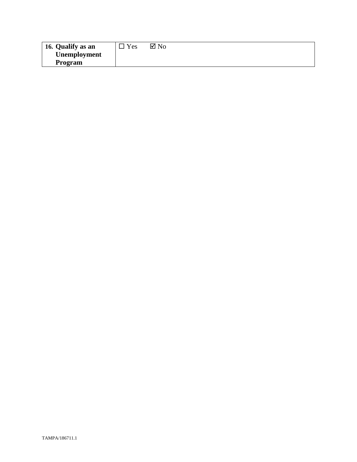| <sup>1</sup> 16. Qualify as an | Yes | $\boxtimes$ No |
|--------------------------------|-----|----------------|
| Unemployment                   |     |                |
| <b>Program</b>                 |     |                |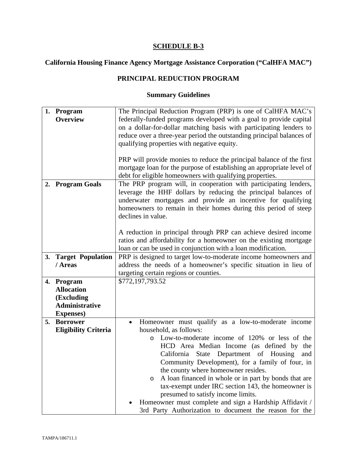# **California Housing Finance Agency Mortgage Assistance Corporation ("CalHFA MAC")**

## **PRINCIPAL REDUCTION PROGRAM**

|    | 1. Program                  | The Principal Reduction Program (PRP) is one of CalHFA MAC's          |  |  |
|----|-----------------------------|-----------------------------------------------------------------------|--|--|
|    | <b>Overview</b>             | federally-funded programs developed with a goal to provide capital    |  |  |
|    |                             | on a dollar-for-dollar matching basis with participating lenders to   |  |  |
|    |                             | reduce over a three-year period the outstanding principal balances of |  |  |
|    |                             | qualifying properties with negative equity.                           |  |  |
|    |                             |                                                                       |  |  |
|    |                             | PRP will provide monies to reduce the principal balance of the first  |  |  |
|    |                             | mortgage loan for the purpose of establishing an appropriate level of |  |  |
|    |                             |                                                                       |  |  |
|    |                             | debt for eligible homeowners with qualifying properties.              |  |  |
| 2. | <b>Program Goals</b>        | The PRP program will, in cooperation with participating lenders,      |  |  |
|    |                             | leverage the HHF dollars by reducing the principal balances of        |  |  |
|    |                             | underwater mortgages and provide an incentive for qualifying          |  |  |
|    |                             | homeowners to remain in their homes during this period of steep       |  |  |
|    |                             | declines in value.                                                    |  |  |
|    |                             |                                                                       |  |  |
|    |                             | A reduction in principal through PRP can achieve desired income       |  |  |
|    |                             | ratios and affordability for a homeowner on the existing mortgage     |  |  |
|    |                             | loan or can be used in conjunction with a loan modification.          |  |  |
| 3. | <b>Target Population</b>    | PRP is designed to target low-to-moderate income homeowners and       |  |  |
|    | / Areas                     | address the needs of a homeowner's specific situation in lieu of      |  |  |
|    |                             | targeting certain regions or counties.                                |  |  |
| 4. | Program                     | \$772,197,793.52                                                      |  |  |
|    | <b>Allocation</b>           |                                                                       |  |  |
|    | (Excluding                  |                                                                       |  |  |
|    | <b>Administrative</b>       |                                                                       |  |  |
|    | <b>Expenses</b> )           |                                                                       |  |  |
| 5. | <b>Borrower</b>             | Homeowner must qualify as a low-to-moderate income                    |  |  |
|    | <b>Eligibility Criteria</b> | household, as follows:                                                |  |  |
|    |                             | Low-to-moderate income of 120% or less of the<br>O                    |  |  |
|    |                             | HCD Area Median Income (as defined by<br>the                          |  |  |
|    |                             | California State Department of Housing<br>and                         |  |  |
|    |                             | Community Development), for a family of four, in                      |  |  |
|    |                             | the county where homeowner resides.                                   |  |  |
|    |                             | A loan financed in whole or in part by bonds that are<br>O            |  |  |
|    |                             | tax-exempt under IRC section 143, the homeowner is                    |  |  |
|    |                             | presumed to satisfy income limits.                                    |  |  |
|    |                             | Homeowner must complete and sign a Hardship Affidavit /               |  |  |
|    |                             | 3rd Party Authorization to document the reason for the                |  |  |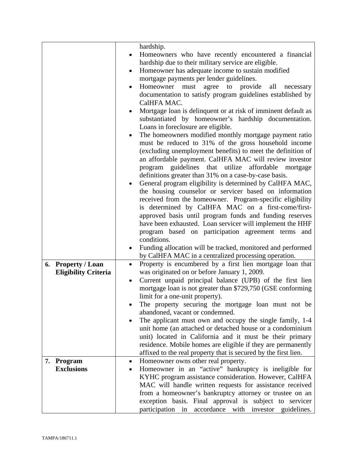| hardship.<br>Homeowners who have recently encountered a financial<br>hardship due to their military service are eligible.<br>Homeowner has adequate income to sustain modified<br>$\bullet$ |
|---------------------------------------------------------------------------------------------------------------------------------------------------------------------------------------------|
|                                                                                                                                                                                             |
|                                                                                                                                                                                             |
|                                                                                                                                                                                             |
|                                                                                                                                                                                             |
| mortgage payments per lender guidelines.                                                                                                                                                    |
| Homeowner must agree to provide<br>all<br>necessary                                                                                                                                         |
| documentation to satisfy program guidelines established by                                                                                                                                  |
| CalHFA MAC.                                                                                                                                                                                 |
| Mortgage loan is delinquent or at risk of imminent default as                                                                                                                               |
| substantiated by homeowner's hardship documentation.                                                                                                                                        |
| Loans in foreclosure are eligible.                                                                                                                                                          |
| The homeowners modified monthly mortgage payment ratio                                                                                                                                      |
| must be reduced to 31% of the gross household income                                                                                                                                        |
| (excluding unemployment benefits) to meet the definition of                                                                                                                                 |
| an affordable payment. CalHFA MAC will review investor                                                                                                                                      |
| guidelines that utilize affordable mortgage<br>program                                                                                                                                      |
| definitions greater than 31% on a case-by-case basis.                                                                                                                                       |
| General program eligibility is determined by CalHFA MAC,                                                                                                                                    |
| the housing counselor or servicer based on information                                                                                                                                      |
| received from the homeowner. Program-specific eligibility                                                                                                                                   |
| is determined by CalHFA MAC on a first-come/first-                                                                                                                                          |
| approved basis until program funds and funding reserves                                                                                                                                     |
| have been exhausted. Loan servicer will implement the HHF                                                                                                                                   |
| program based on participation agreement terms and                                                                                                                                          |
| conditions.                                                                                                                                                                                 |
| Funding allocation will be tracked, monitored and performed                                                                                                                                 |
| by CalHFA MAC in a centralized processing operation.                                                                                                                                        |
| Property is encumbered by a first lien mortgage loan that<br>6. Property / Loan<br>$\bullet$                                                                                                |
| was originated on or before January 1, 2009.<br><b>Eligibility Criteria</b>                                                                                                                 |
| Current unpaid principal balance (UPB) of the first lien<br>٠                                                                                                                               |
| mortgage loan is not greater than \$729,750 (GSE conforming                                                                                                                                 |
| limit for a one-unit property).                                                                                                                                                             |
| The property securing the mortgage loan must not be                                                                                                                                         |
| abandoned, vacant or condemned.                                                                                                                                                             |
| The applicant must own and occupy the single family, 1-4                                                                                                                                    |
| unit home (an attached or detached house or a condominium                                                                                                                                   |
| unit) located in California and it must be their primary                                                                                                                                    |
| residence. Mobile homes are eligible if they are permanently                                                                                                                                |
| affixed to the real property that is secured by the first lien.                                                                                                                             |
| Homeowner owns other real property.<br>Program<br>7.<br>٠                                                                                                                                   |
| Homeowner in an "active" bankruptcy is ineligible for<br><b>Exclusions</b>                                                                                                                  |
| KYHC program assistance consideration. However, CalHFA                                                                                                                                      |
| MAC will handle written requests for assistance received                                                                                                                                    |
| from a homeowner's bankruptcy attorney or trustee on an                                                                                                                                     |
| exception basis. Final approval is subject to servicer                                                                                                                                      |
| participation in accordance with investor guidelines.                                                                                                                                       |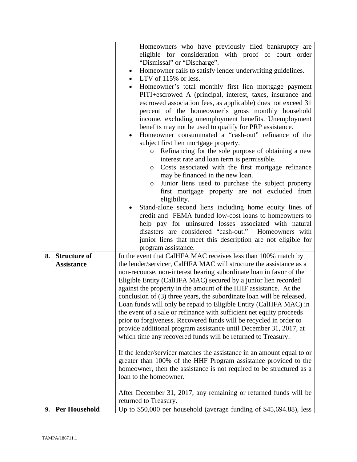|                   | Homeowners who have previously filed bankruptcy are                                                                                       |
|-------------------|-------------------------------------------------------------------------------------------------------------------------------------------|
|                   | eligible for consideration with proof of court order                                                                                      |
|                   | "Dismissal" or "Discharge".                                                                                                               |
|                   | Homeowner fails to satisfy lender underwriting guidelines.<br>$\bullet$<br>LTV of $115\%$ or less.                                        |
|                   | Homeowner's total monthly first lien mortgage payment                                                                                     |
|                   | PITI+escrowed A (principal, interest, taxes, insurance and                                                                                |
|                   | escrowed association fees, as applicable) does not exceed 31                                                                              |
|                   | percent of the homeowner's gross monthly household                                                                                        |
|                   | income, excluding unemployment benefits. Unemployment                                                                                     |
|                   | benefits may not be used to qualify for PRP assistance.                                                                                   |
|                   | Homeowner consummated a "cash-out" refinance of the                                                                                       |
|                   | subject first lien mortgage property.                                                                                                     |
|                   | Refinancing for the sole purpose of obtaining a new<br>$\circ$                                                                            |
|                   | interest rate and loan term is permissible.                                                                                               |
|                   | Costs associated with the first mortgage refinance<br>$\circ$                                                                             |
|                   | may be financed in the new loan.                                                                                                          |
|                   | Junior liens used to purchase the subject property<br>$\circ$                                                                             |
|                   | first mortgage property are not excluded from                                                                                             |
|                   | eligibility.                                                                                                                              |
|                   | Stand-alone second liens including home equity lines of                                                                                   |
|                   | credit and FEMA funded low-cost loans to homeowners to                                                                                    |
|                   | help pay for uninsured losses associated with natural<br>disasters are considered "cash-out."<br>Homeowners with                          |
|                   | junior liens that meet this description are not eligible for                                                                              |
|                   | program assistance.                                                                                                                       |
| 8. Structure of   | In the event that CalHFA MAC receives less than 100% match by                                                                             |
| <b>Assistance</b> | the lender/servicer, CalHFA MAC will structure the assistance as a                                                                        |
|                   | non-recourse, non-interest bearing subordinate loan in favor of the                                                                       |
|                   | Eligible Entity (CalHFA MAC) secured by a junior lien recorded                                                                            |
|                   | against the property in the amount of the HHF assistance. At the                                                                          |
|                   | conclusion of (3) three years, the subordinate loan will be released.                                                                     |
|                   | Loan funds will only be repaid to Eligible Entity (CalHFA MAC) in                                                                         |
|                   | the event of a sale or refinance with sufficient net equity proceeds                                                                      |
|                   | prior to forgiveness. Recovered funds will be recycled in order to                                                                        |
|                   | provide additional program assistance until December 31, 2017, at                                                                         |
|                   | which time any recovered funds will be returned to Treasury.                                                                              |
|                   |                                                                                                                                           |
|                   | If the lender/servicer matches the assistance in an amount equal to or<br>greater than 100% of the HHF Program assistance provided to the |
|                   | homeowner, then the assistance is not required to be structured as a                                                                      |
|                   | loan to the homeowner.                                                                                                                    |
|                   |                                                                                                                                           |
|                   | After December 31, 2017, any remaining or returned funds will be                                                                          |
|                   | returned to Treasury.                                                                                                                     |
| 9. Per Household  | Up to \$50,000 per household (average funding of \$45,694.88), less                                                                       |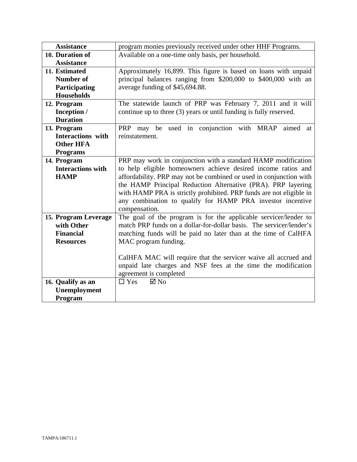| <b>Assistance</b>        | program monies previously received under other HHF Programs.        |
|--------------------------|---------------------------------------------------------------------|
| 10. Duration of          | Available on a one-time only basis, per household.                  |
| <b>Assistance</b>        |                                                                     |
| 11. Estimated            | Approximately 16,899. This figure is based on loans with unpaid     |
| <b>Number of</b>         | principal balances ranging from \$200,000 to \$400,000 with an      |
| Participating            | average funding of \$45,694.88.                                     |
| <b>Households</b>        |                                                                     |
| 12. Program              | The statewide launch of PRP was February 7, 2011 and it will        |
| Inception /              | continue up to three (3) years or until funding is fully reserved.  |
| <b>Duration</b>          |                                                                     |
| 13. Program              | used in conjunction with MRAP<br>PRP may be<br>aimed<br>at          |
| <b>Interactions</b> with | reinstatement.                                                      |
| <b>Other HFA</b>         |                                                                     |
| <b>Programs</b>          |                                                                     |
| 14. Program              | PRP may work in conjunction with a standard HAMP modification       |
| <b>Interactions with</b> | to help eligible homeowners achieve desired income ratios and       |
| <b>HAMP</b>              | affordability. PRP may not be combined or used in conjunction with  |
|                          | the HAMP Principal Reduction Alternative (PRA). PRP layering        |
|                          | with HAMP PRA is strictly prohibited. PRP funds are not eligible in |
|                          | any combination to qualify for HAMP PRA investor incentive          |
|                          | compensation.                                                       |
| 15. Program Leverage     | The goal of the program is for the applicable servicer/lender to    |
| with Other               | match PRP funds on a dollar-for-dollar basis. The servicer/lender's |
| <b>Financial</b>         | matching funds will be paid no later than at the time of CalHFA     |
| <b>Resources</b>         | MAC program funding.                                                |
|                          |                                                                     |
|                          | CalHFA MAC will require that the servicer waive all accrued and     |
|                          | unpaid late charges and NSF fees at the time the modification       |
|                          | agreement is completed                                              |
| 16. Qualify as an        | $\Box$ Yes<br>$\boxtimes$ No                                        |
| Unemployment             |                                                                     |
| Program                  |                                                                     |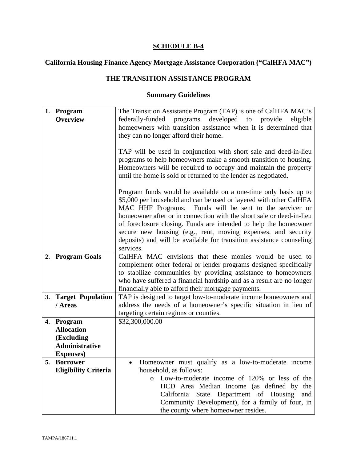# **California Housing Finance Agency Mortgage Assistance Corporation ("CalHFA MAC")**

## **THE TRANSITION ASSISTANCE PROGRAM**

|    | 1. Program                  | The Transition Assistance Program (TAP) is one of CalHFA MAC's       |
|----|-----------------------------|----------------------------------------------------------------------|
|    | <b>Overview</b>             | programs developed to provide<br>federally-funded<br>eligible        |
|    |                             | homeowners with transition assistance when it is determined that     |
|    |                             | they can no longer afford their home.                                |
|    |                             |                                                                      |
|    |                             | TAP will be used in conjunction with short sale and deed-in-lieu     |
|    |                             | programs to help homeowners make a smooth transition to housing.     |
|    |                             | Homeowners will be required to occupy and maintain the property      |
|    |                             | until the home is sold or returned to the lender as negotiated.      |
|    |                             |                                                                      |
|    |                             | Program funds would be available on a one-time only basis up to      |
|    |                             | \$5,000 per household and can be used or layered with other CalHFA   |
|    |                             | MAC HHF Programs. Funds will be sent to the servicer or              |
|    |                             | homeowner after or in connection with the short sale or deed-in-lieu |
|    |                             | of foreclosure closing. Funds are intended to help the homeowner     |
|    |                             | secure new housing (e.g., rent, moving expenses, and security        |
|    |                             | deposits) and will be available for transition assistance counseling |
|    |                             | services.                                                            |
| 2. | <b>Program Goals</b>        | CalHFA MAC envisions that these monies would be used to              |
|    |                             | complement other federal or lender programs designed specifically    |
|    |                             | to stabilize communities by providing assistance to homeowners       |
|    |                             | who have suffered a financial hardship and as a result are no longer |
|    |                             | financially able to afford their mortgage payments.                  |
| 3. | <b>Target Population</b>    | TAP is designed to target low-to-moderate income homeowners and      |
|    | / Areas                     | address the needs of a homeowner's specific situation in lieu of     |
|    |                             | targeting certain regions or counties.                               |
|    | 4. Program                  | \$32,300,000.00                                                      |
|    | <b>Allocation</b>           |                                                                      |
|    | (Excluding                  |                                                                      |
|    | <b>Administrative</b>       |                                                                      |
|    | <b>Expenses</b> )           |                                                                      |
|    | 5. Borrower                 | Homeowner must qualify as a low-to-moderate income                   |
|    | <b>Eligibility Criteria</b> | household, as follows:                                               |
|    |                             | o Low-to-moderate income of 120% or less of the                      |
|    |                             | HCD Area Median Income (as defined by the                            |
|    |                             | California State Department of Housing<br>and                        |
|    |                             | Community Development), for a family of four, in                     |
|    |                             | the county where homeowner resides.                                  |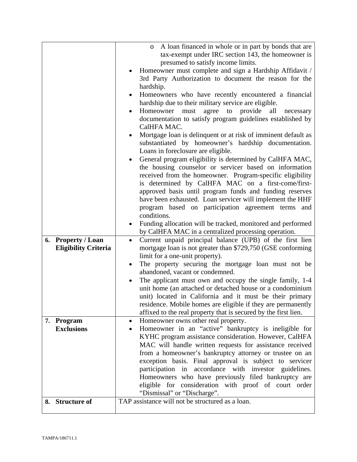|    |                             | A loan financed in whole or in part by bonds that are<br>$\circ$           |
|----|-----------------------------|----------------------------------------------------------------------------|
|    |                             | tax-exempt under IRC section 143, the homeowner is                         |
|    |                             | presumed to satisfy income limits.                                         |
|    |                             | Homeowner must complete and sign a Hardship Affidavit /                    |
|    |                             | 3rd Party Authorization to document the reason for the                     |
|    |                             | hardship.                                                                  |
|    |                             | Homeowners who have recently encountered a financial<br>$\bullet$          |
|    |                             | hardship due to their military service are eligible.                       |
|    |                             | agree<br>to provide<br>Homeowner<br>all<br>must<br>necessary               |
|    |                             | documentation to satisfy program guidelines established by                 |
|    |                             | CalHFA MAC.                                                                |
|    |                             | Mortgage loan is delinquent or at risk of imminent default as              |
|    |                             | substantiated by homeowner's hardship documentation.                       |
|    |                             | Loans in foreclosure are eligible.                                         |
|    |                             | General program eligibility is determined by CalHFA MAC,                   |
|    |                             | the housing counselor or servicer based on information                     |
|    |                             | received from the homeowner. Program-specific eligibility                  |
|    |                             | is determined by CalHFA MAC on a first-come/first-                         |
|    |                             | approved basis until program funds and funding reserves                    |
|    |                             | have been exhausted. Loan servicer will implement the HHF                  |
|    |                             | program based on participation agreement terms<br>and                      |
|    |                             | conditions.<br>Funding allocation will be tracked, monitored and performed |
|    |                             | by CalHFA MAC in a centralized processing operation.                       |
| 6. | <b>Property / Loan</b>      | Current unpaid principal balance (UPB) of the first lien<br>$\bullet$      |
|    | <b>Eligibility Criteria</b> | mortgage loan is not greater than \$729,750 (GSE conforming                |
|    |                             | limit for a one-unit property).                                            |
|    |                             | The property securing the mortgage loan must not be                        |
|    |                             | abandoned, vacant or condemned.                                            |
|    |                             | The applicant must own and occupy the single family, 1-4                   |
|    |                             | unit home (an attached or detached house or a condominium                  |
|    |                             | unit) located in California and it must be their primary                   |
|    |                             | residence. Mobile homes are eligible if they are permanently               |
|    |                             | affixed to the real property that is secured by the first lien.            |
|    | 7. Program                  | Homeowner owns other real property.<br>$\bullet$                           |
|    | <b>Exclusions</b>           | Homeowner in an "active" bankruptcy is ineligible for                      |
|    |                             | KYHC program assistance consideration. However, CalHFA                     |
|    |                             | MAC will handle written requests for assistance received                   |
|    |                             | from a homeowner's bankruptcy attorney or trustee on an                    |
|    |                             | exception basis. Final approval is subject to servicer                     |
|    |                             | participation in accordance with investor guidelines.                      |
|    |                             | Homeowners who have previously filed bankruptcy are                        |
|    |                             | eligible for consideration with proof of court order                       |
|    |                             | "Dismissal" or "Discharge".                                                |
| 8. | <b>Structure of</b>         | TAP assistance will not be structured as a loan.                           |
|    |                             |                                                                            |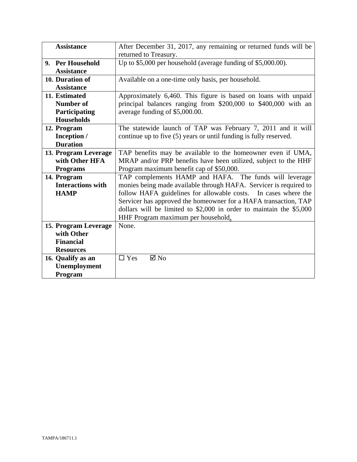| <b>Assistance</b>        | After December 31, 2017, any remaining or returned funds will be      |
|--------------------------|-----------------------------------------------------------------------|
|                          | returned to Treasury.                                                 |
| 9. Per Household         | Up to \$5,000 per household (average funding of \$5,000.00).          |
| <b>Assistance</b>        |                                                                       |
| 10. Duration of          | Available on a one-time only basis, per household.                    |
| <b>Assistance</b>        |                                                                       |
| 11. Estimated            | Approximately 6,460. This figure is based on loans with unpaid        |
| Number of                | principal balances ranging from \$200,000 to \$400,000 with an        |
| Participating            | average funding of \$5,000.00.                                        |
| <b>Households</b>        |                                                                       |
| 12. Program              | The statewide launch of TAP was February 7, 2011 and it will          |
| Inception /              | continue up to five (5) years or until funding is fully reserved.     |
| <b>Duration</b>          |                                                                       |
| 13. Program Leverage     | TAP benefits may be available to the homeowner even if UMA,           |
| with Other HFA           | MRAP and/or PRP benefits have been utilized, subject to the HHF       |
| <b>Programs</b>          | Program maximum benefit cap of \$50,000.                              |
| 14. Program              | TAP complements HAMP and HAFA. The funds will leverage                |
| <b>Interactions with</b> | monies being made available through HAFA. Servicer is required to     |
| <b>HAMP</b>              | follow HAFA guidelines for allowable costs. In cases where the        |
|                          | Servicer has approved the homeowner for a HAFA transaction, TAP       |
|                          | dollars will be limited to $$2,000$ in order to maintain the $$5,000$ |
|                          | HHF Program maximum per household.                                    |
| 15. Program Leverage     | None.                                                                 |
| with Other               |                                                                       |
| <b>Financial</b>         |                                                                       |
| <b>Resources</b>         |                                                                       |
| 16. Qualify as an        | $\Box$ Yes<br>$\boxtimes$ No                                          |
| Unemployment             |                                                                       |
| Program                  |                                                                       |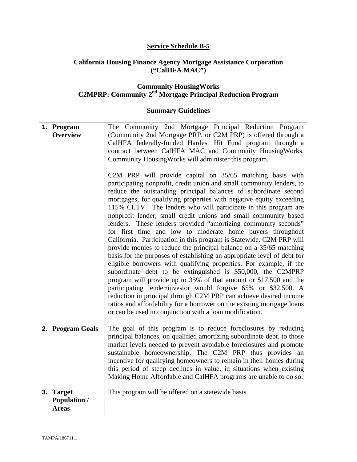## **Service Schedule B-5**

#### **California Housing Finance Agency Mortgage Assistance Corporation ("CalHFA MAC")**

#### **Community HousingWorks C2MPRP: Community 2nd Mortgage Principal Reduction Program**

| 1. Program<br><b>Overview</b>                              | The Community 2nd Mortgage Principal Reduction Program<br>(Community 2nd Mortgage PRP, or C2M PRP) is offered through a<br>CalHFA federally-funded Hardest Hit Fund program through a<br>contract between CalHFA MAC and Community HousingWorks.<br>Community HousingWorks will administer this program.<br>C2M PRP will provide capital on 35/65 matching basis with<br>participating nonprofit, credit union and small community lenders, to<br>reduce the outstanding principal balances of subordinate second<br>mortgages, for qualifying properties with negative equity exceeding<br>115% CLTV. The lenders who will participate in this program are<br>nonprofit lender, small credit unions and small community based<br>lenders. These lenders provided "amortizing community seconds"<br>for first time and low to moderate home buyers throughout<br>California. Participation in this program is Statewide. C2M PRP will<br>provide monies to reduce the principal balance on a 35/65 matching<br>basis for the purposes of establishing an appropriate level of debt for<br>eligible borrowers with qualifying properties. For example, if the<br>subordinate debt to be extinguished is \$50,000, the C2MPRP<br>program will provide up to 35% of that amount or \$17,500 and the<br>participating lender/investor would forgive 65% or \$32,500. A<br>reduction in principal through C2M PRP can achieve desired income<br>ratios and affordability for a borrower on the existing mortgage loans<br>or can be used in conjunction with a loan modification. |
|------------------------------------------------------------|------------------------------------------------------------------------------------------------------------------------------------------------------------------------------------------------------------------------------------------------------------------------------------------------------------------------------------------------------------------------------------------------------------------------------------------------------------------------------------------------------------------------------------------------------------------------------------------------------------------------------------------------------------------------------------------------------------------------------------------------------------------------------------------------------------------------------------------------------------------------------------------------------------------------------------------------------------------------------------------------------------------------------------------------------------------------------------------------------------------------------------------------------------------------------------------------------------------------------------------------------------------------------------------------------------------------------------------------------------------------------------------------------------------------------------------------------------------------------------------------------------------------------------------------------------------------------|
| 2. Program Goals                                           | The goal of this program is to reduce foreclosures by reducing<br>principal balances, on qualified amortizing subordinate debt, to those<br>market levels needed to prevent avoidable foreclosures and promote<br>sustainable homeownership. The C2M PRP thus provides an<br>incentive for qualifying homeowners to remain in their homes during<br>this period of steep declines in value, in situations when existing<br>Making Home Affordable and CalHFA programs are unable to do so.                                                                                                                                                                                                                                                                                                                                                                                                                                                                                                                                                                                                                                                                                                                                                                                                                                                                                                                                                                                                                                                                                   |
| <b>Target</b><br>3.<br><b>Population /</b><br><b>Areas</b> | This program will be offered on a statewide basis.                                                                                                                                                                                                                                                                                                                                                                                                                                                                                                                                                                                                                                                                                                                                                                                                                                                                                                                                                                                                                                                                                                                                                                                                                                                                                                                                                                                                                                                                                                                           |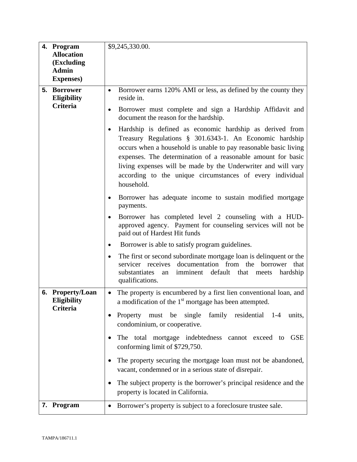|    | 4. Program<br><b>Allocation</b><br>(Excluding<br><b>Admin</b><br><b>Expenses</b> ) | \$9,245,330.00.                                                                                                                                                                                                                                                                                                                                                                                                                                                                                                                                                                                                                 |
|----|------------------------------------------------------------------------------------|---------------------------------------------------------------------------------------------------------------------------------------------------------------------------------------------------------------------------------------------------------------------------------------------------------------------------------------------------------------------------------------------------------------------------------------------------------------------------------------------------------------------------------------------------------------------------------------------------------------------------------|
|    | 5. Borrower<br><b>Eligibility</b><br><b>Criteria</b>                               | Borrower earns 120% AMI or less, as defined by the county they<br>$\bullet$<br>reside in.<br>Borrower must complete and sign a Hardship Affidavit and<br>$\bullet$<br>document the reason for the hardship.<br>Hardship is defined as economic hardship as derived from<br>$\bullet$<br>Treasury Regulations § 301.6343-1. An Economic hardship<br>occurs when a household is unable to pay reasonable basic living<br>expenses. The determination of a reasonable amount for basic<br>living expenses will be made by the Underwriter and will vary<br>according to the unique circumstances of every individual<br>household. |
|    |                                                                                    | Borrower has adequate income to sustain modified mortgage<br>$\bullet$<br>payments.<br>Borrower has completed level 2 counseling with a HUD-<br>approved agency. Payment for counseling services will not be<br>paid out of Hardest Hit funds<br>Borrower is able to satisfy program guidelines.<br>$\bullet$                                                                                                                                                                                                                                                                                                                   |
|    |                                                                                    | The first or second subordinate mortgage loan is delinquent or the<br>$\bullet$<br>documentation from the<br>servicer receives<br>borrower<br>that<br>substantiates<br>imminent default that<br>hardship<br>an<br>meets<br>qualifications.                                                                                                                                                                                                                                                                                                                                                                                      |
| 6. | <b>Property/Loan</b><br><b>Eligibility</b><br>Criteria                             | The property is encumbered by a first lien conventional loan, and<br>$\bullet$<br>a modification of the 1 <sup>st</sup> mortgage has been attempted.<br>Property must be single family residential 1-4 units,<br>condominium, or cooperative.<br>The total mortgage indebtedness cannot exceed to<br>GSE<br>conforming limit of \$729,750.<br>The property securing the mortgage loan must not be abandoned,<br>vacant, condemned or in a serious state of disrepair.<br>The subject property is the borrower's principal residence and the<br>property is located in California.                                               |
|    | 7. Program                                                                         | Borrower's property is subject to a foreclosure trustee sale.<br>$\bullet$                                                                                                                                                                                                                                                                                                                                                                                                                                                                                                                                                      |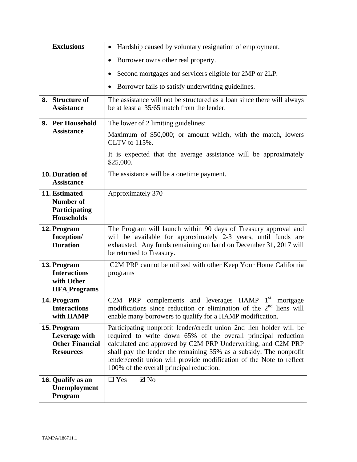| <b>Exclusions</b>                                                          | Hardship caused by voluntary resignation of employment.                                                                                                                                                                                                                                                                                                                                        |
|----------------------------------------------------------------------------|------------------------------------------------------------------------------------------------------------------------------------------------------------------------------------------------------------------------------------------------------------------------------------------------------------------------------------------------------------------------------------------------|
|                                                                            | Borrower owns other real property.                                                                                                                                                                                                                                                                                                                                                             |
|                                                                            | Second mortgages and servicers eligible for 2MP or 2LP.                                                                                                                                                                                                                                                                                                                                        |
|                                                                            | Borrower fails to satisfy underwriting guidelines.                                                                                                                                                                                                                                                                                                                                             |
| 8. Structure of<br><b>Assistance</b>                                       | The assistance will not be structured as a loan since there will always<br>be at least a 35/65 match from the lender.                                                                                                                                                                                                                                                                          |
| 9. Per Household                                                           | The lower of 2 limiting guidelines:                                                                                                                                                                                                                                                                                                                                                            |
| <b>Assistance</b>                                                          | Maximum of \$50,000; or amount which, with the match, lowers<br>CLTV to 115%.                                                                                                                                                                                                                                                                                                                  |
|                                                                            | It is expected that the average assistance will be approximately<br>\$25,000.                                                                                                                                                                                                                                                                                                                  |
| 10. Duration of<br><b>Assistance</b>                                       | The assistance will be a onetime payment.                                                                                                                                                                                                                                                                                                                                                      |
| <b>11. Estimated</b><br>Number of<br>Participating<br><b>Households</b>    | Approximately 370                                                                                                                                                                                                                                                                                                                                                                              |
| 12. Program<br>Inception/<br><b>Duration</b>                               | The Program will launch within 90 days of Treasury approval and<br>will be available for approximately 2-3 years, until funds are<br>exhausted. Any funds remaining on hand on December 31, 2017 will<br>be returned to Treasury.                                                                                                                                                              |
| 13. Program<br><b>Interactions</b><br>with Other<br><b>HFA</b> Programs    | C2M PRP cannot be utilized with other Keep Your Home California<br>programs                                                                                                                                                                                                                                                                                                                    |
| 14. Program<br><b>Interactions</b><br>with HAMP                            | $1^{\rm st}$<br>C2M<br><b>HAMP</b><br>and<br><b>PRP</b><br>complements<br>leverages<br>mortgage<br>modifications since reduction or elimination of the $2nd$ liens will<br>enable many borrowers to qualify for a HAMP modification.                                                                                                                                                           |
| 15. Program<br>Leverage with<br><b>Other Financial</b><br><b>Resources</b> | Participating nonprofit lender/credit union 2nd lien holder will be<br>required to write down 65% of the overall principal reduction<br>calculated and approved by C2M PRP Underwriting, and C2M PRP<br>shall pay the lender the remaining 35% as a subsidy. The nonprofit<br>lender/credit union will provide modification of the Note to reflect<br>100% of the overall principal reduction. |
| 16. Qualify as an<br>Unemployment<br>Program                               | $\square$ Yes<br>$\boxtimes$ No                                                                                                                                                                                                                                                                                                                                                                |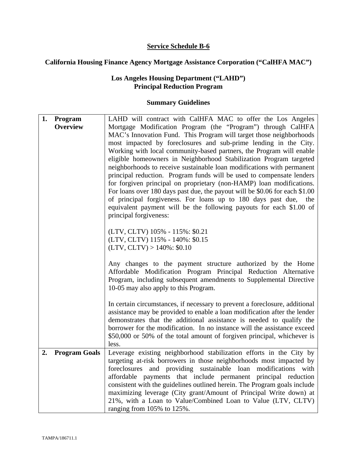## **Service Schedule B-6**

## **California Housing Finance Agency Mortgage Assistance Corporation ("CalHFA MAC")**

## **Los Angeles Housing Department ("LAHD") Principal Reduction Program**

| 1. | Program              | LAHD will contract with CalHFA MAC to offer the Los Angeles                                                 |
|----|----------------------|-------------------------------------------------------------------------------------------------------------|
|    | <b>Overview</b>      | Mortgage Modification Program (the "Program") through CalHFA                                                |
|    |                      | MAC's Innovation Fund. This Program will target those neighborhoods                                         |
|    |                      | most impacted by foreclosures and sub-prime lending in the City.                                            |
|    |                      | Working with local community-based partners, the Program will enable                                        |
|    |                      | eligible homeowners in Neighborhood Stabilization Program targeted                                          |
|    |                      | neighborhoods to receive sustainable loan modifications with permanent                                      |
|    |                      | principal reduction. Program funds will be used to compensate lenders                                       |
|    |                      | for forgiven principal on proprietary (non-HAMP) loan modifications.                                        |
|    |                      | For loans over 180 days past due, the payout will be \$0.06 for each \$1.00                                 |
|    |                      | of principal forgiveness. For loans up to 180 days past due, the                                            |
|    |                      | equivalent payment will be the following payouts for each \$1.00 of                                         |
|    |                      | principal forgiveness:                                                                                      |
|    |                      |                                                                                                             |
|    |                      | (LTV, CLTV) 105% - 115%: \$0.21                                                                             |
|    |                      | (LTV, CLTV) 115% - 140%: \$0.15                                                                             |
|    |                      | $(LTV, CLTV) > 140\%$ : \$0.10                                                                              |
|    |                      |                                                                                                             |
|    |                      | Any changes to the payment structure authorized by the Home                                                 |
|    |                      | Affordable Modification Program Principal Reduction Alternative                                             |
|    |                      | Program, including subsequent amendments to Supplemental Directive<br>10-05 may also apply to this Program. |
|    |                      |                                                                                                             |
|    |                      | In certain circumstances, if necessary to prevent a foreclosure, additional                                 |
|    |                      | assistance may be provided to enable a loan modification after the lender                                   |
|    |                      | demonstrates that the additional assistance is needed to qualify the                                        |
|    |                      | borrower for the modification. In no instance will the assistance exceed                                    |
|    |                      | \$50,000 or 50% of the total amount of forgiven principal, whichever is                                     |
|    |                      | less.                                                                                                       |
| 2. | <b>Program Goals</b> | Leverage existing neighborhood stabilization efforts in the City by                                         |
|    |                      | targeting at-risk borrowers in those neighborhoods most impacted by                                         |
|    |                      | foreclosures and providing sustainable loan modifications<br>with                                           |
|    |                      | affordable payments that include permanent principal reduction                                              |
|    |                      | consistent with the guidelines outlined herein. The Program goals include                                   |
|    |                      | maximizing leverage (City grant/Amount of Principal Write down) at                                          |
|    |                      | 21%, with a Loan to Value/Combined Loan to Value (LTV, CLTV)                                                |
|    |                      | ranging from 105% to 125%.                                                                                  |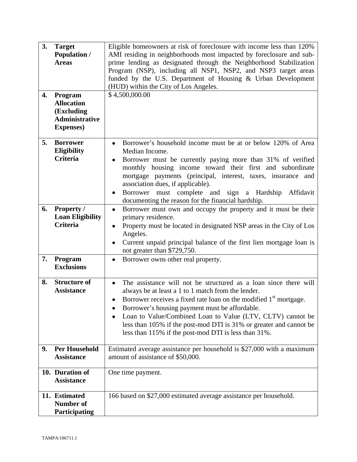| 3.<br>4. | <b>Target</b><br><b>Population /</b><br><b>Areas</b><br>Program<br><b>Allocation</b><br>(Excluding<br><b>Administrative</b><br><b>Expenses</b> ) | Eligible homeowners at risk of foreclosure with income less than 120%<br>AMI residing in neighborhoods most impacted by foreclosure and sub-<br>prime lending as designated through the Neighborhood Stabilization<br>Program (NSP), including all NSP1, NSP2, and NSP3 target areas<br>funded by the U.S. Department of Housing & Urban Development<br>(HUD) within the City of Los Angeles.<br>\$4,500,000.00                                       |
|----------|--------------------------------------------------------------------------------------------------------------------------------------------------|-------------------------------------------------------------------------------------------------------------------------------------------------------------------------------------------------------------------------------------------------------------------------------------------------------------------------------------------------------------------------------------------------------------------------------------------------------|
| 5.       | <b>Borrower</b><br><b>Eligibility</b><br>Criteria                                                                                                | Borrower's household income must be at or below 120% of Area<br>Median Income.<br>Borrower must be currently paying more than 31% of verified<br>monthly housing income toward their first and subordinate<br>mortgage payments (principal, interest, taxes, insurance and<br>association dues, if applicable).<br>Borrower must complete and<br>sign a Hardship<br>Affidavit<br>$\bullet$<br>documenting the reason for the financial hardship.      |
| 6.       | <b>Property /</b><br><b>Loan Eligibility</b><br><b>Criteria</b>                                                                                  | Borrower must own and occupy the property and it must be their<br>$\bullet$<br>primary residence.<br>Property must be located in designated NSP areas in the City of Los<br>$\bullet$<br>Angeles.<br>Current unpaid principal balance of the first lien mortgage loan is<br>not greater than \$729,750.                                                                                                                                               |
| 7.       | Program<br><b>Exclusions</b>                                                                                                                     | Borrower owns other real property.<br>٠                                                                                                                                                                                                                                                                                                                                                                                                               |
| 8.       | <b>Structure of</b><br><b>Assistance</b>                                                                                                         | The assistance will not be structured as a loan since there will<br>always be at least a 1 to 1 match from the lender.<br>Borrower receives a fixed rate loan on the modified 1 <sup>st</sup> mortgage.<br>Borrower's housing payment must be affordable.<br>Loan to Value/Combined Loan to Value (LTV, CLTV) cannot be<br>less than 105% if the post-mod DTI is 31% or greater and cannot be<br>less than 115% if the post-mod DTI is less than 31%. |
| 9.       | <b>Per Household</b><br><b>Assistance</b>                                                                                                        | Estimated average assistance per household is \$27,000 with a maximum<br>amount of assistance of \$50,000.                                                                                                                                                                                                                                                                                                                                            |
|          | 10. Duration of<br><b>Assistance</b>                                                                                                             | One time payment.                                                                                                                                                                                                                                                                                                                                                                                                                                     |
|          | 11. Estimated<br><b>Number of</b><br>Participating                                                                                               | 166 based on \$27,000 estimated average assistance per household.                                                                                                                                                                                                                                                                                                                                                                                     |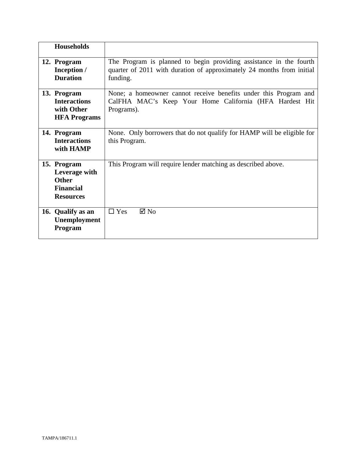| <b>Households</b>                                                                    |                                                                                                                                                         |
|--------------------------------------------------------------------------------------|---------------------------------------------------------------------------------------------------------------------------------------------------------|
|                                                                                      |                                                                                                                                                         |
| 12. Program<br>Inception /<br><b>Duration</b>                                        | The Program is planned to begin providing assistance in the fourth<br>quarter of 2011 with duration of approximately 24 months from initial<br>funding. |
| 13. Program<br><b>Interactions</b><br>with Other<br><b>HFA Programs</b>              | None; a homeowner cannot receive benefits under this Program and<br>CalFHA MAC's Keep Your Home California (HFA Hardest Hit<br>Programs).               |
| 14. Program<br><b>Interactions</b><br>with HAMP                                      | None. Only borrowers that do not qualify for HAMP will be eligible for<br>this Program.                                                                 |
| 15. Program<br>Leverage with<br><b>Other</b><br><b>Financial</b><br><b>Resources</b> | This Program will require lender matching as described above.                                                                                           |
| 16. Qualify as an<br>Unemployment<br>Program                                         | $\Box$ Yes<br>$\boxtimes$ No                                                                                                                            |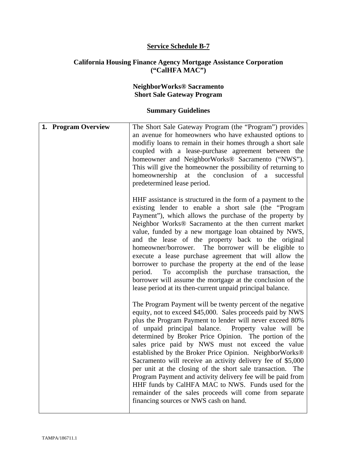#### **Service Schedule B-7**

#### **California Housing Finance Agency Mortgage Assistance Corporation ("CalHFA MAC")**

#### **NeighborWorks® Sacramento Short Sale Gateway Program**

| 1. Program Overview | The Short Sale Gateway Program (the "Program") provides<br>an avenue for homeowners who have exhausted options to<br>modifiy loans to remain in their homes through a short sale<br>coupled with a lease-purchase agreement between the<br>homeowner and NeighborWorks® Sacramento ("NWS").<br>This will give the homeowner the possibility of returning to<br>homeownership at the conclusion of a successful<br>predetermined lease period.                                                                                                                                                                                                                                                                                                                                |
|---------------------|------------------------------------------------------------------------------------------------------------------------------------------------------------------------------------------------------------------------------------------------------------------------------------------------------------------------------------------------------------------------------------------------------------------------------------------------------------------------------------------------------------------------------------------------------------------------------------------------------------------------------------------------------------------------------------------------------------------------------------------------------------------------------|
|                     | HHF assistance is structured in the form of a payment to the<br>existing lender to enable a short sale (the "Program"<br>Payment"), which allows the purchase of the property by<br>Neighbor Works® Sacramento at the then current market<br>value, funded by a new mortgage loan obtained by NWS,<br>and the lease of the property back to the original<br>The borrower will be eligible to<br>homeowner/borrower.<br>execute a lease purchase agreement that will allow the<br>borrower to purchase the property at the end of the lease<br>To accomplish the purchase transaction, the<br>period.<br>borrower will assume the mortgage at the conclusion of the<br>lease period at its then-current unpaid principal balance.                                             |
|                     | The Program Payment will be twenty percent of the negative<br>equity, not to exceed \$45,000. Sales proceeds paid by NWS<br>plus the Program Payment to lender will never exceed 80%<br>of unpaid principal balance. Property value will be<br>determined by Broker Price Opinion. The portion of the<br>sales price paid by NWS must not exceed the value<br>established by the Broker Price Opinion. NeighborWorks®<br>Sacramento will receive an activity delivery fee of \$5,000<br>per unit at the closing of the short sale transaction. The<br>Program Payment and activity delivery fee will be paid from<br>HHF funds by CalHFA MAC to NWS. Funds used for the<br>remainder of the sales proceeds will come from separate<br>financing sources or NWS cash on hand. |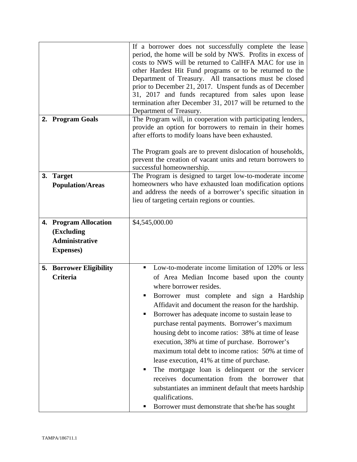|    |                                                                                   | If a borrower does not successfully complete the lease<br>period, the home will be sold by NWS. Profits in excess of<br>costs to NWS will be returned to CalHFA MAC for use in<br>other Hardest Hit Fund programs or to be returned to the<br>Department of Treasury. All transactions must be closed<br>prior to December 21, 2017. Unspent funds as of December<br>31, 2017 and funds recaptured from sales upon lease<br>termination after December 31, 2017 will be returned to the<br>Department of Treasury.                                                                                                                                                                                                                                                                              |  |
|----|-----------------------------------------------------------------------------------|-------------------------------------------------------------------------------------------------------------------------------------------------------------------------------------------------------------------------------------------------------------------------------------------------------------------------------------------------------------------------------------------------------------------------------------------------------------------------------------------------------------------------------------------------------------------------------------------------------------------------------------------------------------------------------------------------------------------------------------------------------------------------------------------------|--|
|    | 2. Program Goals                                                                  | The Program will, in cooperation with participating lenders,<br>provide an option for borrowers to remain in their homes<br>after efforts to modify loans have been exhausted.<br>The Program goals are to prevent dislocation of households,<br>prevent the creation of vacant units and return borrowers to                                                                                                                                                                                                                                                                                                                                                                                                                                                                                   |  |
|    |                                                                                   | successful homeownership.                                                                                                                                                                                                                                                                                                                                                                                                                                                                                                                                                                                                                                                                                                                                                                       |  |
| 3. | <b>Target</b><br><b>Population/Areas</b>                                          | The Program is designed to target low-to-moderate income<br>homeowners who have exhausted loan modification options<br>and address the needs of a borrower's specific situation in<br>lieu of targeting certain regions or counties.                                                                                                                                                                                                                                                                                                                                                                                                                                                                                                                                                            |  |
|    | 4. Program Allocation<br>(Excluding<br><b>Administrative</b><br><b>Expenses</b> ) | \$4,545,000.00                                                                                                                                                                                                                                                                                                                                                                                                                                                                                                                                                                                                                                                                                                                                                                                  |  |
|    | <b>5. Borrower Eligibility</b><br><b>Criteria</b>                                 | Low-to-moderate income limitation of 120% or less<br>٠<br>of Area Median Income based upon the county<br>where borrower resides.<br>Borrower must complete and sign a Hardship<br>Affidavit and document the reason for the hardship.<br>Borrower has adequate income to sustain lease to<br>purchase rental payments. Borrower's maximum<br>housing debt to income ratios: 38% at time of lease<br>execution, 38% at time of purchase. Borrower's<br>maximum total debt to income ratios: 50% at time of<br>lease execution, 41% at time of purchase.<br>The mortgage loan is delinquent or the servicer<br>п<br>receives documentation from the borrower that<br>substantiates an imminent default that meets hardship<br>qualifications.<br>Borrower must demonstrate that she/he has sought |  |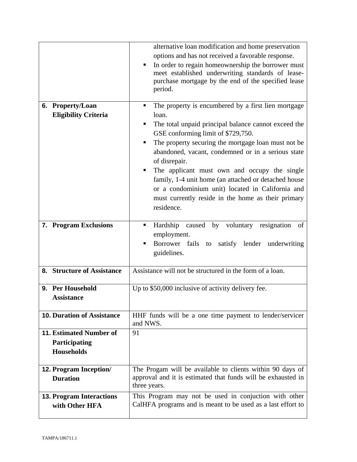|                                                                      | alternative loan modification and home preservation<br>options and has not received a favorable response.<br>In order to regain homeownership the borrower must<br>٠<br>meet established underwriting standards of lease-<br>purchase mortgage by the end of the specified lease<br>period.                                                                                                                                                                                                                                        |  |  |
|----------------------------------------------------------------------|------------------------------------------------------------------------------------------------------------------------------------------------------------------------------------------------------------------------------------------------------------------------------------------------------------------------------------------------------------------------------------------------------------------------------------------------------------------------------------------------------------------------------------|--|--|
| 6. Property/Loan<br><b>Eligibility Criteria</b>                      | The property is encumbered by a first lien mortgage<br>٠<br>loan.<br>The total unpaid principal balance cannot exceed the<br>GSE conforming limit of \$729,750.<br>The property securing the mortgage loan must not be<br>abandoned, vacant, condemned or in a serious state<br>of disrepair.<br>The applicant must own and occupy the single<br>٠<br>family, 1-4 unit home (an attached or detached house<br>or a condominium unit) located in California and<br>must currently reside in the home as their primary<br>residence. |  |  |
| 7. Program Exclusions                                                | Hardship caused by voluntary resignation of<br>٠<br>employment.<br>Borrower fails to satisfy lender underwriting<br>guidelines.                                                                                                                                                                                                                                                                                                                                                                                                    |  |  |
| 8. Structure of Assistance                                           | Assistance will not be structured in the form of a loan.                                                                                                                                                                                                                                                                                                                                                                                                                                                                           |  |  |
| <b>Per Household</b><br>9.<br><b>Assistance</b>                      | Up to \$50,000 inclusive of activity delivery fee.                                                                                                                                                                                                                                                                                                                                                                                                                                                                                 |  |  |
| <b>10. Duration of Assistance</b>                                    | HHF funds will be a one time payment to lender/servicer<br>and NWS.                                                                                                                                                                                                                                                                                                                                                                                                                                                                |  |  |
| <b>11. Estimated Number of</b><br>Participating<br><b>Households</b> | 91                                                                                                                                                                                                                                                                                                                                                                                                                                                                                                                                 |  |  |
| <b>12. Program Inception/</b><br><b>Duration</b>                     | The Progam will be available to clients within 90 days of<br>approval and it is estimated that funds will be exhausted in<br>three years.                                                                                                                                                                                                                                                                                                                                                                                          |  |  |
| <b>13. Program Interactions</b><br>with Other HFA                    | This Program may not be used in conjuction with other<br>CalHFA programs and is meant to be used as a last effort to                                                                                                                                                                                                                                                                                                                                                                                                               |  |  |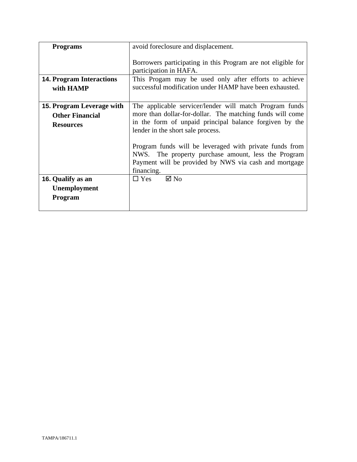| <b>Programs</b>                                                                | avoid foreclosure and displacement.                                                                                                                                                                                                                                             |  |
|--------------------------------------------------------------------------------|---------------------------------------------------------------------------------------------------------------------------------------------------------------------------------------------------------------------------------------------------------------------------------|--|
|                                                                                | Borrowers participating in this Program are not eligible for<br>participation in HAFA.                                                                                                                                                                                          |  |
| <b>14. Program Interactions</b><br>with HAMP                                   | This Progam may be used only after efforts to achieve<br>successful modification under HAMP have been exhausted.                                                                                                                                                                |  |
| <b>15. Program Leverage with</b><br><b>Other Financial</b><br><b>Resources</b> | The applicable servicer/lender will match Program funds<br>more than dollar-for-dollar. The matching funds will come<br>in the form of unpaid principal balance forgiven by the<br>lender in the short sale process.<br>Program funds will be leveraged with private funds from |  |
|                                                                                | NWS. The property purchase amount, less the Program<br>Payment will be provided by NWS via cash and mortgage<br>financing.                                                                                                                                                      |  |
| 16. Qualify as an<br><b>Unemployment</b><br>Program                            | $\boxtimes$ No<br>$\Box$ Yes                                                                                                                                                                                                                                                    |  |